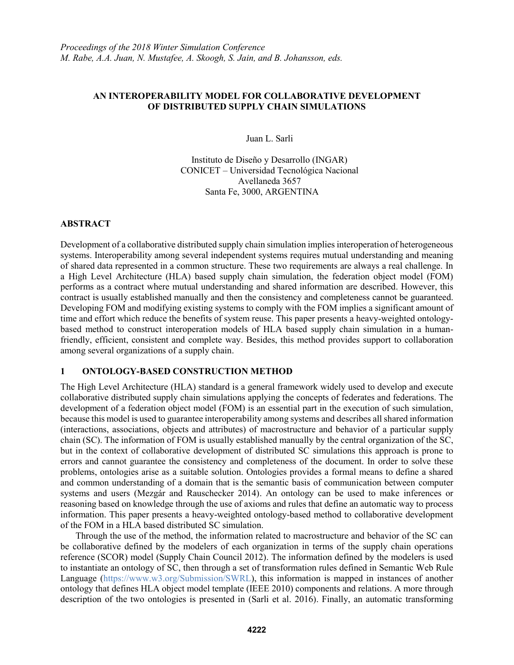### **AN INTEROPERABILITY MODEL FOR COLLABORATIVE DEVELOPMENT OF DISTRIBUTED SUPPLY CHAIN SIMULATIONS**

Juan L. Sarli

Instituto de Diseño y Desarrollo (INGAR) CONICET – Universidad Tecnológica Nacional Avellaneda 3657 Santa Fe, 3000, ARGENTINA

# **ABSTRACT**

Development of a collaborative distributed supply chain simulation implies interoperation of heterogeneous systems. Interoperability among several independent systems requires mutual understanding and meaning of shared data represented in a common structure. These two requirements are always a real challenge. In a High Level Architecture (HLA) based supply chain simulation, the federation object model (FOM) performs as a contract where mutual understanding and shared information are described. However, this contract is usually established manually and then the consistency and completeness cannot be guaranteed. Developing FOM and modifying existing systems to comply with the FOM implies a significant amount of time and effort which reduce the benefits of system reuse. This paper presents a heavy-weighted ontologybased method to construct interoperation models of HLA based supply chain simulation in a humanfriendly, efficient, consistent and complete way. Besides, this method provides support to collaboration among several organizations of a supply chain.

# **1 ONTOLOGY-BASED CONSTRUCTION METHOD**

The High Level Architecture (HLA) standard is a general framework widely used to develop and execute collaborative distributed supply chain simulations applying the concepts of federates and federations. The development of a federation object model (FOM) is an essential part in the execution of such simulation, because this model is used to guarantee interoperability among systems and describes all shared information (interactions, associations, objects and attributes) of macrostructure and behavior of a particular supply chain (SC). The information of FOM is usually established manually by the central organization of the SC, but in the context of collaborative development of distributed SC simulations this approach is prone to errors and cannot guarantee the consistency and completeness of the document. In order to solve these problems, ontologies arise as a suitable solution. Ontologies provides a formal means to define a shared and common understanding of a domain that is the semantic basis of communication between computer systems and users (Mezgár and Rauschecker 2014). An ontology can be used to make inferences or reasoning based on knowledge through the use of axioms and rules that define an automatic way to process information. This paper presents a heavy-weighted ontology-based method to collaborative development of the FOM in a HLA based distributed SC simulation.

Through the use of the method, the information related to macrostructure and behavior of the SC can be collaborative defined by the modelers of each organization in terms of the supply chain operations reference (SCOR) model (Supply Chain Council 2012). The information defined by the modelers is used to instantiate an ontology of SC, then through a set of transformation rules defined in Semantic Web Rule Language (https://www.w3.org/Submission/SWRL), this information is mapped in instances of another ontology that defines HLA object model template (IEEE 2010) components and relations. A more through description of the two ontologies is presented in (Sarli et al. 2016). Finally, an automatic transforming